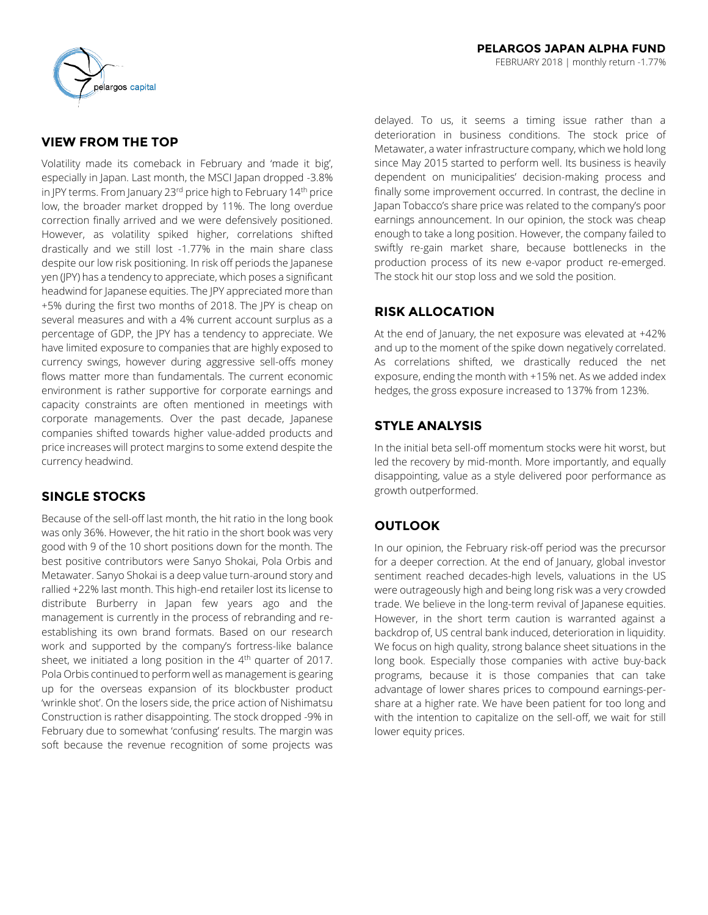

## **VIEW FROM THE TOP**

Volatility made its comeback in February and 'made it big', especially in Japan. Last month, the MSCI Japan dropped -3.8% in JPY terms. From January 23<sup>rd</sup> price high to February 14<sup>th</sup> price low, the broader market dropped by 11%. The long overdue correction finally arrived and we were defensively positioned. However, as volatility spiked higher, correlations shifted drastically and we still lost -1.77% in the main share class despite our low risk positioning. In risk off periods the Japanese yen (JPY) has a tendency to appreciate, which poses a significant headwind for Japanese equities. The JPY appreciated more than +5% during the first two months of 2018. The JPY is cheap on several measures and with a 4% current account surplus as a percentage of GDP, the JPY has a tendency to appreciate. We have limited exposure to companies that are highly exposed to currency swings, however during aggressive sell-offs money flows matter more than fundamentals. The current economic environment is rather supportive for corporate earnings and capacity constraints are often mentioned in meetings with corporate managements. Over the past decade, Japanese companies shifted towards higher value-added products and price increases will protect margins to some extend despite the currency headwind.

## **SINGLE STOCKS**

Because of the sell-off last month, the hit ratio in the long book was only 36%. However, the hit ratio in the short book was very good with 9 of the 10 short positions down for the month. The best positive contributors were Sanyo Shokai, Pola Orbis and Metawater. Sanyo Shokai is a deep value turn-around story and rallied +22% last month. This high-end retailer lost its license to distribute Burberry in Japan few years ago and the management is currently in the process of rebranding and reestablishing its own brand formats. Based on our research work and supported by the company's fortress-like balance sheet, we initiated a long position in the 4<sup>th</sup> quarter of 2017. Pola Orbis continued to perform well as management is gearing up for the overseas expansion of its blockbuster product 'wrinkle shot'. On the losers side, the price action of Nishimatsu Construction is rather disappointing. The stock dropped -9% in February due to somewhat 'confusing' results. The margin was soft because the revenue recognition of some projects was

delayed. To us, it seems a timing issue rather than a deterioration in business conditions. The stock price of Metawater, a water infrastructure company, which we hold long since May 2015 started to perform well. Its business is heavily dependent on municipalities' decision-making process and finally some improvement occurred. In contrast, the decline in Japan Tobacco's share price was related to the company's poor earnings announcement. In our opinion, the stock was cheap enough to take a long position. However, the company failed to swiftly re-gain market share, because bottlenecks in the production process of its new e-vapor product re-emerged. The stock hit our stop loss and we sold the position.

## **RISK ALLOCATION**

At the end of January, the net exposure was elevated at +42% and up to the moment of the spike down negatively correlated. As correlations shifted, we drastically reduced the net exposure, ending the month with +15% net. As we added index hedges, the gross exposure increased to 137% from 123%.

# **STYLE ANALYSIS**

In the initial beta sell-off momentum stocks were hit worst, but led the recovery by mid-month. More importantly, and equally disappointing, value as a style delivered poor performance as growth outperformed.

## **OUTLOOK**

In our opinion, the February risk-off period was the precursor for a deeper correction. At the end of January, global investor sentiment reached decades-high levels, valuations in the US were outrageously high and being long risk was a very crowded trade. We believe in the long-term revival of Japanese equities. However, in the short term caution is warranted against a backdrop of, US central bank induced, deterioration in liquidity. We focus on high quality, strong balance sheet situations in the long book. Especially those companies with active buy-back programs, because it is those companies that can take advantage of lower shares prices to compound earnings-pershare at a higher rate. We have been patient for too long and with the intention to capitalize on the sell-off, we wait for still lower equity prices.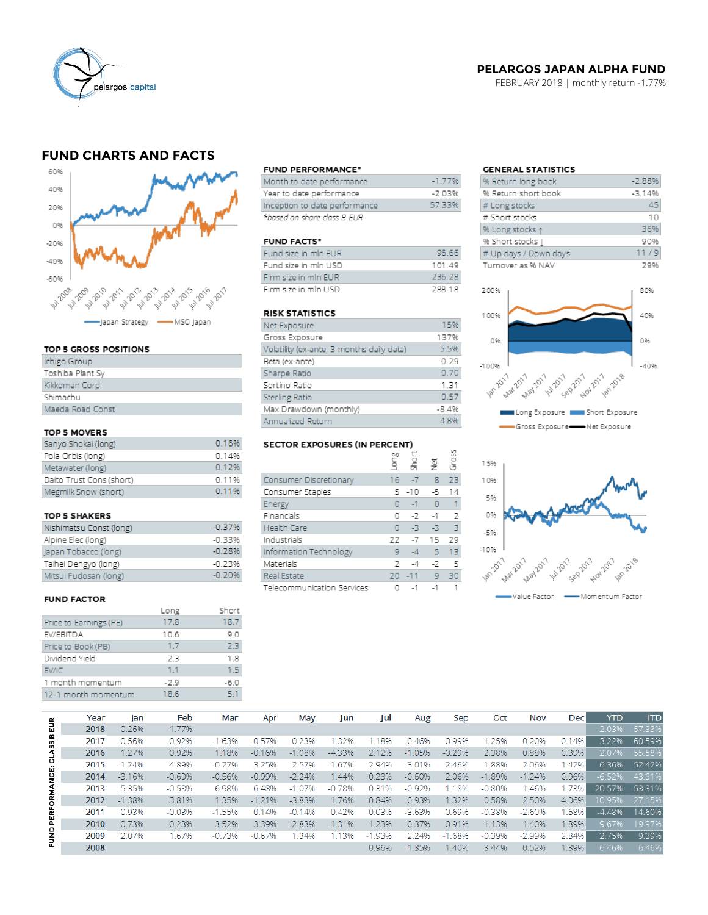

### **PELARGOS JAPAN ALPHA FUND**

FEBRUARY 2018 | monthly return -1.77%

## **FUND CHARTS AND FACTS**



### TOP 5 GROSS POSITIONS

| Ichigo Group     |
|------------------|
| Toshiba Plant Sy |
| Kikkoman Corp    |
| Shimachu         |
| Maeda Road Const |

### TOP 5 MOVERS

| Sanyo Shokai (long)      | 0.16%   |
|--------------------------|---------|
| Pola Orbis (long)        | 0.14%   |
| Metawater (long)         | 0.12%   |
| Daito Trust Cons (short) | 0.11%   |
| Megmilk Snow (short)     | 0 1 1 % |

#### **TOP 5 SHAKERS**

| Nishimatsu Const (long) | $-0.37%$ |
|-------------------------|----------|
| Alpine Elec (long)      | -0.33%   |
| Japan Tobacco (long)    | $-0.28%$ |
| Taihei Dengyo (long)    | $-0.23%$ |
| Mitsui Fudosan (long)   | $-0.20%$ |

### **FUND FACTOR**

|                        | Long | Short  |
|------------------------|------|--------|
| Price to Earnings (PE) | 17.8 | 18.7   |
| EV/EBITDA              | 10.6 | 9.0    |
| Price to Book (PB)     | 1.7  | 23     |
| Dividend Yield         | 23   | 1.8    |
| EV/IC                  | 1.1  | 1.5    |
| 1 month momentum       | -2.9 | $-6.0$ |
| 12-1 month momentum    | 18.6 | 51     |
|                        |      |        |

#### **FUND PERFORMANCE\***

| Month to date performance     | $-1.77%$ |
|-------------------------------|----------|
| Year to date performance      | -7 83%   |
| Inception to date performance | 57.33%   |
| *based on share class B EUR   |          |

### **FUND FACTS\***

| Fund size in min EUR | 96.66         |
|----------------------|---------------|
| Fund size in min USD | 10149         |
| Firm size in min EUR | 236.28        |
| Firm size in min USD | <b>788 18</b> |

#### **RISK STATISTICS**

| Net Exposure                              | 15%     |
|-------------------------------------------|---------|
| Gross Exposure                            | 137%    |
| Volatility (ex-ante; 3 months daily data) | 5.5%    |
| Beta (ex-ante)                            | 0.29    |
| Sharpe Ratio                              | 0.70    |
| Sortino Ratio                             | 1.31    |
| Sterling Ratio                            | 0.57    |
| Max Drawdown (monthly)                    | $-8.4%$ |
| Annualized Return                         | 4.8%    |

### **SECTOR EXPOSURES (IN PERCENT)**

| 9LCTOR EXPOSURES (IN FERCENT) |     |       |           |       |  |  |  |  |  |  |
|-------------------------------|-----|-------|-----------|-------|--|--|--|--|--|--|
|                               | guo | Short | Ξ         | Gross |  |  |  |  |  |  |
| Consumer Discretionary        | 16  | $-7$  | 8         | 23    |  |  |  |  |  |  |
| Consumer Staples              | 5   | $-10$ | -5        | 14    |  |  |  |  |  |  |
| Energy                        | O   | $-1$  | $\bullet$ | 1     |  |  |  |  |  |  |
| Financials                    | O   | $-7$  | $-1$      | 2     |  |  |  |  |  |  |
| <b>Health Care</b>            | O   | $-3$  | -3        | 3     |  |  |  |  |  |  |
| Industrials                   | 22  | $-7$  | 15        | 29    |  |  |  |  |  |  |
| Information Technology        | 9   | $-4$  | 5         | 13    |  |  |  |  |  |  |
| Materials                     | 2   | -4    | -2        | 5     |  |  |  |  |  |  |
| Real Estate                   | 20  | $-11$ | 9         | 30    |  |  |  |  |  |  |
| Telecommunication Services    |     | $-1$  | $-1$      |       |  |  |  |  |  |  |

## **GENERAL STATISTICS**

| % Return long book                            | $-2.88%$ |  |  |
|-----------------------------------------------|----------|--|--|
| % Return short book                           | $-3.14%$ |  |  |
| # Long stocks                                 | 45       |  |  |
| # Short stocks                                | 10       |  |  |
| % Long stocks 1                               | 36%      |  |  |
| % Short stocks [                              | 90%      |  |  |
| # Up days / Down days                         | 11/9     |  |  |
| Turnover as % NAV                             | 29%      |  |  |
|                                               |          |  |  |
| 200%                                          | 80%      |  |  |
|                                               |          |  |  |
| 100%                                          | 40%      |  |  |
|                                               |          |  |  |
| 0%                                            | 0%       |  |  |
|                                               |          |  |  |
| $-100%$                                       | $-40%$   |  |  |
|                                               |          |  |  |
| 197 - 2017 - 2017 - 2017 - 2017 - 2017 - 2019 |          |  |  |
|                                               |          |  |  |
|                                               |          |  |  |





|               | Year | lan      | Feb      | Mar      | Apr      | May      | Jun      | Jul      | Aug      | Sep      | Oct      | <b>Nov</b> | <b>Dec</b> | YTD      | <b>ITD</b> |
|---------------|------|----------|----------|----------|----------|----------|----------|----------|----------|----------|----------|------------|------------|----------|------------|
| EUR           | 2018 | $-0.26%$ | $-1.77%$ |          |          |          |          |          |          |          |          |            |            | $-2.03%$ | 57.33%     |
|               | 2017 | 0.56%    | $-0.92%$ | $-1.63%$ | $-0.57%$ | 0.23%    | .32%     | 1.18%    | 0.46%    | 0.99%    | .25%     | 0.20%      | 0.14%      | 3.22%    | 60.59%     |
| <b>CLASSB</b> | 2016 | 1.27%    | 0.92%    | 1.18%    | $-0.16%$ | $-1.08%$ | $-4.33%$ | 2.12%    | $-1.05%$ | $-0.29%$ | 2.38%    | 0.88%      | 0.39%      | 2.07%    | 55.58%     |
|               | 2015 | $-1.24%$ | 4.89%    | $-0.27%$ | 3.25%    | 2.57%    | $-1.67%$ | $-2.94%$ | $-3.01%$ | 2.46%    | .88%     | 2.06%      | $-1.42%$   | 6.36%    | 52.42%     |
| PERFORMANCE:  | 2014 | $-3.16%$ | $-0.60%$ | $-0.56%$ | $-0.99%$ | $-2.24%$ | 1.44%    | 0.23%    | $-0.60%$ | 2.06%    | $-1.89%$ | $-1.24%$   | 0.96%      | $-6.52%$ | 43.31%     |
|               | 2013 | 5.35%    | $-0.58%$ | 6.98%    | 6.48%    | $-1.07%$ | $-0.78%$ | 0.31%    | $-0.92%$ | 1.18%    | $-0.80%$ | .46%       | 1.73%      | 20.57%   | 53.31%     |
|               | 2012 | $-1.38%$ | 3.81%    | 1.35%    | $-1.21%$ | $-3.83%$ | 1.76%    | 0.84%    | 0.93%    | 1.32%    | 0.58%    | 2.50%      | 4.06%      | 10.95%   | 27.15%     |
|               | 2011 | 0.93%    | $-0.03%$ | $-1.55%$ | 0.14%    | $-0.14%$ | 0.42%    | 0.03%    | $-3.63%$ | 0.69%    | $-0.38%$ | $-2.60%$   | .68%       | $-4.48%$ | 14.60%     |
|               | 2010 | 0.73%    | $-0.23%$ | 3.52%    | 3.39%    | $-2.83%$ | $-1.31%$ | 1.23%    | $-0.37%$ | 0.91%    | 1.13%    | 1.40%      | .89%       | 9.67%    | 19.97%     |
| ENND          | 2009 | 2.07%    | 1.67%    | $-0.73%$ | $-0.67%$ | .34%     | 1.13%    | $-1.93%$ | 2.24%    | $-1.68%$ | $-0.39%$ | $-2.99%$   | 2.84%      | 2.75%    | 9.39%      |
|               | 2008 |          |          |          |          |          |          | 0.96%    | $-1.35%$ | 1.40%    | 3.44%    | 0.52%      | .39%       | 6.46%    | 6.46%      |
|               |      |          |          |          |          |          |          |          |          |          |          |            |            |          |            |